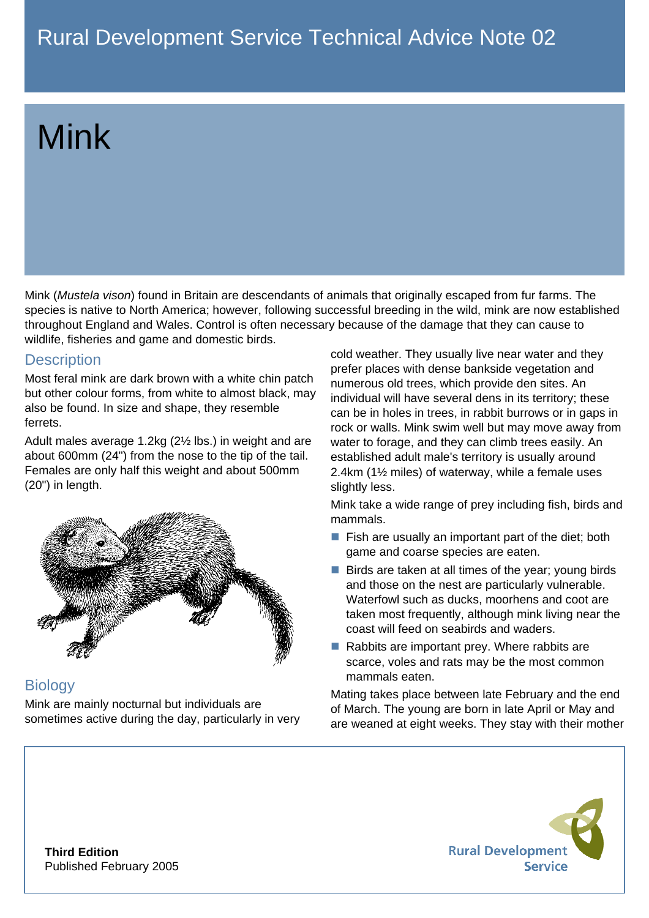# Mink

Mink (*Mustela vison*) found in Britain are descendants of animals that originally escaped from fur farms. The species is native to North America; however, following successful breeding in the wild, mink are now established throughout England and Wales. Control is often necessary because of the damage that they can cause to wildlife, fisheries and game and domestic birds.

## **Description**

Most feral mink are dark brown with a white chin patch but other colour forms, from white to almost black, may also be found. In size and shape, they resemble ferrets.

Adult males average 1.2kg (2½ lbs.) in weight and are about 600mm (24") from the nose to the tip of the tail. Females are only half this weight and about 500mm (20") in length.



# **Biology**

Mink are mainly nocturnal but individuals are sometimes active during the day, particularly in very cold weather. They usually live near water and they prefer places with dense bankside vegetation and numerous old trees, which provide den sites. An individual will have several dens in its territory; these can be in holes in trees, in rabbit burrows or in gaps in rock or walls. Mink swim well but may move away from water to forage, and they can climb trees easily. An established adult male's territory is usually around 2.4km (1½ miles) of waterway, while a female uses slightly less.

Mink take a wide range of prey including fish, birds and mammals.

- $\blacksquare$  Fish are usually an important part of the diet; both game and coarse species are eaten.
- $\blacksquare$  Birds are taken at all times of the year; young birds and those on the nest are particularly vulnerable. Waterfowl such as ducks, moorhens and coot are taken most frequently, although mink living near the coast will feed on seabirds and waders.
- Rabbits are important prey. Where rabbits are scarce, voles and rats may be the most common mammals eaten.

Mating takes place between late February and the end of March. The young are born in late April or May and are weaned at eight weeks. They stay with their mother



**Third Edition** Published February 2005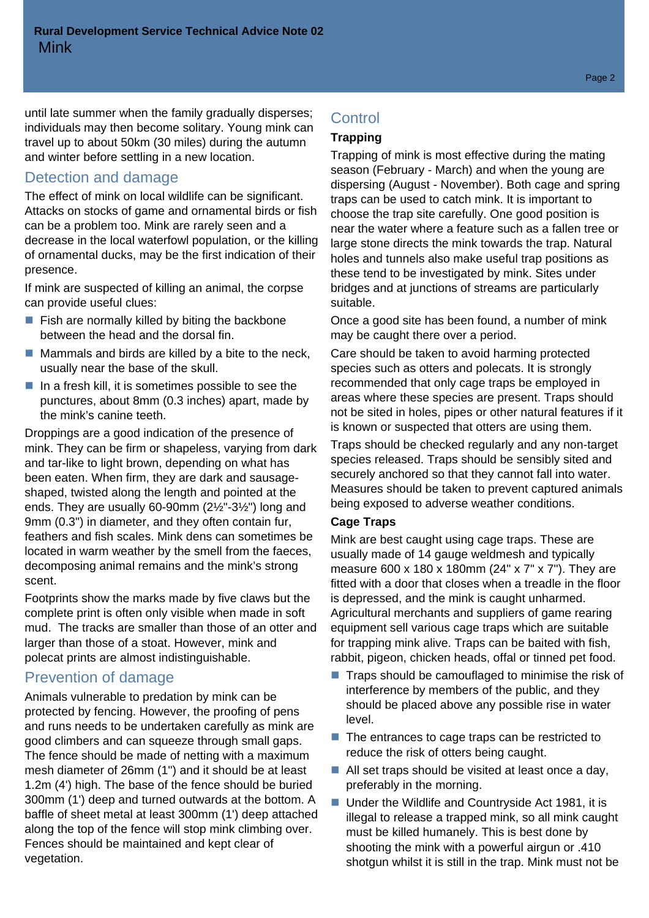until late summer when the family gradually disperses; individuals may then become solitary. Young mink can travel up to about 50km (30 miles) during the autumn and winter before settling in a new location.

## Detection and damage

The effect of mink on local wildlife can be significant. Attacks on stocks of game and ornamental birds or fish can be a problem too. Mink are rarely seen and a decrease in the local waterfowl population, or the killing of ornamental ducks, may be the first indication of their presence.

If mink are suspected of killing an animal, the corpse can provide useful clues:

- $\blacksquare$  Fish are normally killed by biting the backbone between the head and the dorsal fin.
- $\blacksquare$  Mammals and birds are killed by a bite to the neck, usually near the base of the skull.
- $\blacksquare$  In a fresh kill, it is sometimes possible to see the punctures, about 8mm (0.3 inches) apart, made by the mink's canine teeth.

Droppings are a good indication of the presence of mink. They can be firm or shapeless, varying from dark and tar-like to light brown, depending on what has been eaten. When firm, they are dark and sausageshaped, twisted along the length and pointed at the ends. They are usually 60-90mm (2½"-3½") long and 9mm (0.3") in diameter, and they often contain fur, feathers and fish scales. Mink dens can sometimes be located in warm weather by the smell from the faeces, decomposing animal remains and the mink's strong scent.

Footprints show the marks made by five claws but the complete print is often only visible when made in soft mud. The tracks are smaller than those of an otter and larger than those of a stoat. However, mink and polecat prints are almost indistinguishable.

### Prevention of damage

Animals vulnerable to predation by mink can be protected by fencing. However, the proofing of pens and runs needs to be undertaken carefully as mink are good climbers and can squeeze through small gaps. The fence should be made of netting with a maximum mesh diameter of 26mm (1") and it should be at least 1.2m (4') high. The base of the fence should be buried 300mm (1') deep and turned outwards at the bottom. A baffle of sheet metal at least 300mm (1') deep attached along the top of the fence will stop mink climbing over. Fences should be maintained and kept clear of vegetation.

# **Control**

#### **Trapping**

Trapping of mink is most effective during the mating season (February - March) and when the young are dispersing (August - November). Both cage and spring traps can be used to catch mink. It is important to choose the trap site carefully. One good position is near the water where a feature such as a fallen tree or large stone directs the mink towards the trap. Natural holes and tunnels also make useful trap positions as these tend to be investigated by mink. Sites under bridges and at junctions of streams are particularly suitable.

Once a good site has been found, a number of mink may be caught there over a period.

Care should be taken to avoid harming protected species such as otters and polecats. It is strongly recommended that only cage traps be employed in areas where these species are present. Traps should not be sited in holes, pipes or other natural features if it is known or suspected that otters are using them.

Traps should be checked regularly and any non-target species released. Traps should be sensibly sited and securely anchored so that they cannot fall into water. Measures should be taken to prevent captured animals being exposed to adverse weather conditions.

#### **Cage Traps**

Mink are best caught using cage traps. These are usually made of 14 gauge weldmesh and typically measure 600 x 180 x 180mm (24" x 7" x 7"). They are fitted with a door that closes when a treadle in the floor is depressed, and the mink is caught unharmed. Agricultural merchants and suppliers of game rearing equipment sell various cage traps which are suitable for trapping mink alive. Traps can be baited with fish, rabbit, pigeon, chicken heads, offal or tinned pet food.

- $\blacksquare$  Traps should be camouflaged to minimise the risk of interference by members of the public, and they should be placed above any possible rise in water level.
- $\blacksquare$  The entrances to cage traps can be restricted to reduce the risk of otters being caught.
- All set traps should be visited at least once a day, preferably in the morning.
- Under the Wildlife and Countryside Act 1981, it is illegal to release a trapped mink, so all mink caught must be killed humanely. This is best done by shooting the mink with a powerful airgun or .410 shotgun whilst it is still in the trap. Mink must not be